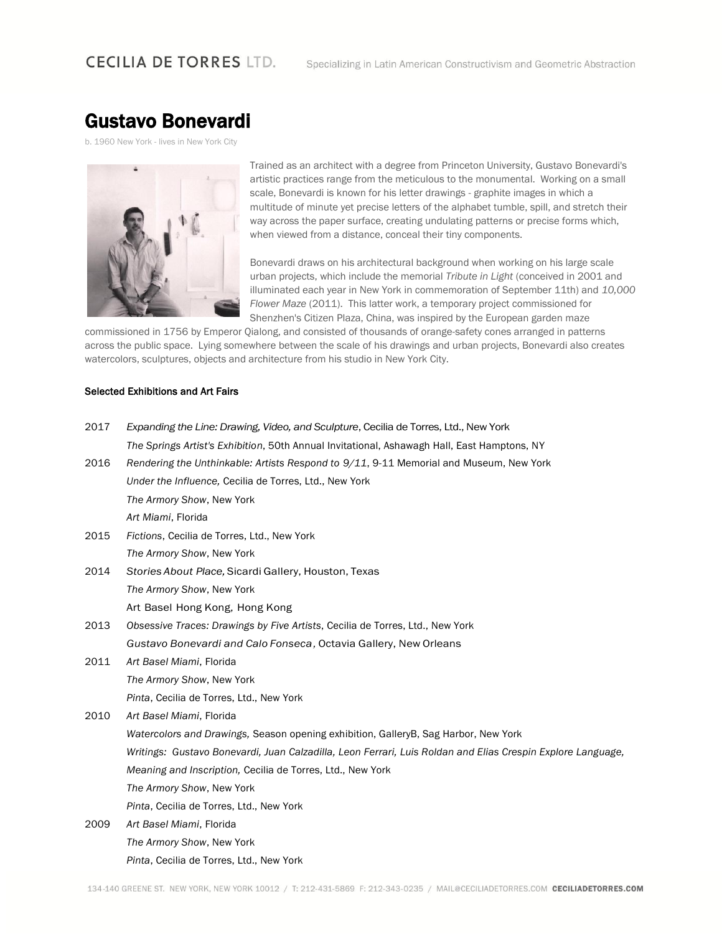## **CECILIA DE TORRES LTD.**

# Gustavo Bonevardi

b. 1960 New York - lives in New York City



Trained as an architect with a degree from Princeton University, Gustavo Bonevardi's artistic practices range from the meticulous to the monumental. Working on a small scale, Bonevardi is known for his letter drawings - graphite images in which a multitude of minute yet precise letters of the alphabet tumble, spill, and stretch their way across the paper surface, creating undulating patterns or precise forms which, when viewed from a distance, conceal their tiny components.

Bonevardi draws on his architectural background when working on his large scale urban projects, which include the memorial *Tribute in Light* (conceived in 2001 and illuminated each year in New York in commemoration of September 11th) and *10,000 Flower Maze* (2011). This latter work, a temporary project commissioned for Shenzhen's Citizen Plaza, China, was inspired by the European garden maze

commissioned in 1756 by Emperor Qialong, and consisted of thousands of orange-safety cones arranged in patterns across the public space. Lying somewhere between the scale of his drawings and urban projects, Bonevardi also creates watercolors, sculptures, objects and architecture from his studio in New York City.

#### Selected Exhibitions and Art Fairs

| 2017 | Expanding the Line: Drawing, Video, and Sculpture, Cecilia de Torres, Ltd., New York                        |  |  |  |  |
|------|-------------------------------------------------------------------------------------------------------------|--|--|--|--|
|      | The Springs Artist's Exhibition, 50th Annual Invitational, Ashawagh Hall, East Hamptons, NY                 |  |  |  |  |
| 2016 | Rendering the Unthinkable: Artists Respond to 9/11, 9-11 Memorial and Museum, New York                      |  |  |  |  |
|      | Under the Influence, Cecilia de Torres, Ltd., New York                                                      |  |  |  |  |
|      | The Armory Show, New York                                                                                   |  |  |  |  |
|      | Art Miami, Florida                                                                                          |  |  |  |  |
| 2015 | Fictions, Cecilia de Torres, Ltd., New York                                                                 |  |  |  |  |
|      | The Armory Show, New York                                                                                   |  |  |  |  |
| 2014 | Stories About Place, Sicardi Gallery, Houston, Texas                                                        |  |  |  |  |
|      | The Armory Show, New York                                                                                   |  |  |  |  |
|      | Art Basel Hong Kong, Hong Kong                                                                              |  |  |  |  |
| 2013 | Obsessive Traces: Drawings by Five Artists, Cecilia de Torres, Ltd., New York                               |  |  |  |  |
|      | Gustavo Bonevardi and Calo Fonseca, Octavia Gallery, New Orleans                                            |  |  |  |  |
| 2011 | Art Basel Miami, Florida                                                                                    |  |  |  |  |
|      | The Armory Show, New York                                                                                   |  |  |  |  |
|      | Pinta, Cecilia de Torres, Ltd., New York                                                                    |  |  |  |  |
| 2010 | Art Basel Miami, Florida                                                                                    |  |  |  |  |
|      | Watercolors and Drawings, Season opening exhibition, GalleryB, Sag Harbor, New York                         |  |  |  |  |
|      | Writings: Gustavo Bonevardi, Juan Calzadilla, Leon Ferrari, Luis Roldan and Elias Crespin Explore Language, |  |  |  |  |
|      | Meaning and Inscription, Cecilia de Torres, Ltd., New York                                                  |  |  |  |  |
|      | The Armory Show, New York                                                                                   |  |  |  |  |
|      | Pinta, Cecilia de Torres, Ltd., New York                                                                    |  |  |  |  |
| 2009 | Art Basel Miami, Florida                                                                                    |  |  |  |  |
|      | The Armory Show, New York                                                                                   |  |  |  |  |
|      | Pinta, Cecilia de Torres, Ltd., New York                                                                    |  |  |  |  |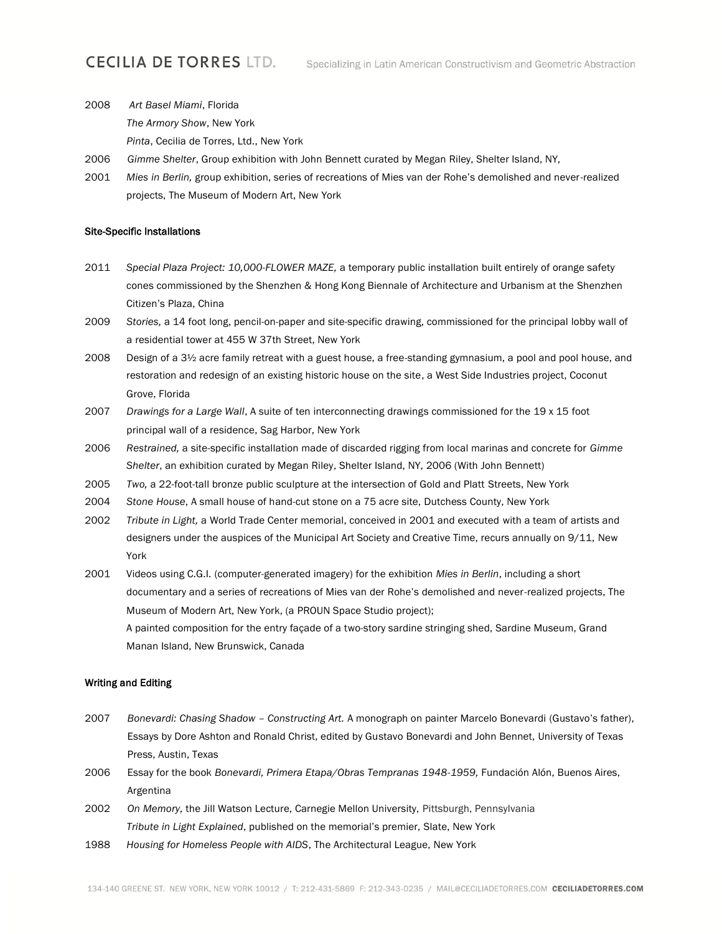## **CECILIA DE TORRES LTD.**

- 2008 *Art Basel Miami*, Florida *The Armory Show*, New York *Pinta*, Cecilia de Torres, Ltd., New York
- 2006 *Gimme Shelter*, Group exhibition with John Bennett curated by Megan Riley, Shelter Island, NY,
- 2001 *Mies in Berlin,* group exhibition, series of recreations of Mies van der Rohe's demolished and never-realized projects, The Museum of Modern Art, New York

#### Site-Specific Installations

- 2011 *Special Plaza Project: 10,000-FLOWER MAZE,* a temporary public installation built entirely of orange safety cones commissioned by the Shenzhen & Hong Kong Biennale of Architecture and Urbanism at the Shenzhen Citizen's Plaza, China
- 2009 *Stories,* a 14 foot long, pencil-on-paper and site-specific drawing, commissioned for the principal lobby wall of a residential tower at 455 W 37th Street, New York
- 2008 Design of a 3½ acre family retreat with a guest house, a free-standing gymnasium, a pool and pool house, and restoration and redesign of an existing historic house on the site, a West Side Industries project, Coconut Grove, Florida
- 2007 *Drawings for a Large Wall*, A suite of ten interconnecting drawings commissioned for the 19 x 15 foot principal wall of a residence, Sag Harbor, New York
- 2006 *Restrained,* a site-specific installation made of discarded rigging from local marinas and concrete for *Gimme Shelter*, an exhibition curated by Megan Riley, Shelter Island, NY, 2006 (With John Bennett)
- 2005 *Two,* a 22-foot-tall bronze public sculpture at the intersection of Gold and Platt Streets, New York
- 2004 *Stone House*, A small house of hand-cut stone on a 75 acre site, Dutchess County, New York
- 2002 *Tribute in Light,* a World Trade Center memorial, conceived in 2001 and executed with a team of artists and designers under the auspices of the Municipal Art Society and Creative Time, recurs annually on 9/11, New York
- 2001 Videos using C.G.I. (computer-generated imagery) for the exhibition *Mies in Berlin*, including a short documentary and a series of recreations of Mies van der Rohe's demolished and never-realized projects, The Museum of Modern Art, New York, (a PROUN Space Studio project); A painted composition for the entry façade of a two-story sardine stringing shed, Sardine Museum, Grand Manan Island, New Brunswick, Canada

#### Writing and Editing

- 2007 *Bonevardi: Chasing Shadow – Constructing Art.* A monograph on painter Marcelo Bonevardi (Gustavo's father), Essays by Dore Ashton and Ronald Christ, edited by Gustavo Bonevardi and John Bennet, University of Texas Press, Austin, Texas
- 2006 Essay for the book *Bonevardi, Primera Etapa/Obras Tempranas 1948-1959,* Fundación Alón, Buenos Aires, Argentina
- 2002 *On Memory,* the Jill Watson Lecture, Carnegie Mellon University, Pittsburgh, Pennsylvania *Tribute in Light Explained*, published on the memorial's premier, Slate, New York
- 1988 *Housing for Homeless People with AIDS*, The Architectural League, New York